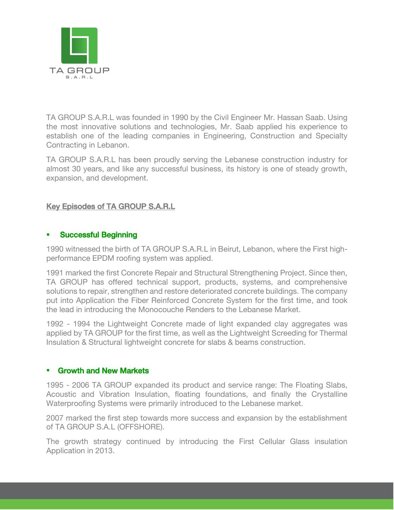

TA GROUP S.A.R.L was founded in 1990 by the Civil Engineer Mr. Hassan Saab. Using the most innovative solutions and technologies, Mr. Saab applied his experience to establish one of the leading companies in Engineering, Construction and Specialty Contracting in Lebanon.

TA GROUP S.A.R.L has been proudly serving the Lebanese construction industry for almost 30 years, and like any successful business, its history is one of steady growth, expansion, and development.

## <u>Key Episodes of TA GROUP S.A.R.L.</u>

## Successful Beginning

1990 witnessed the birth of TA GROUP S.A.R.L in Beirut, Lebanon, where the First highperformance EPDM roofing system was applied.

1991 marked the first Concrete Repair and Structural Strengthening Project. Since then, TA GROUP has offered technical support, products, systems, and comprehensive solutions to repair, strengthen and restore deteriorated concrete buildings. The company put into Application the Fiber Reinforced Concrete System for the first time, and took the lead in introducing the Monocouche Renders to the Lebanese Market.

1992 - 1994 the Lightweight Concrete made of light expanded clay aggregates was applied by TA GROUP for the first time, as well as the Lightweight Screeding for Thermal Insulation & Structural lightweight concrete for slabs & beams construction.

## Growth and New Markets

1995 - 2006 TA GROUP expanded its product and service range: The Floating Slabs, Acoustic and Vibration Insulation, floating foundations, and finally the Crystalline Waterproofing Systems were primarily introduced to the Lebanese market.

2007 marked the first step towards more success and expansion by the establishment of TA GROUP S.A.L (OFFSHORE).

The growth strategy continued by introducing the First Cellular Glass insulation Application in 2013.